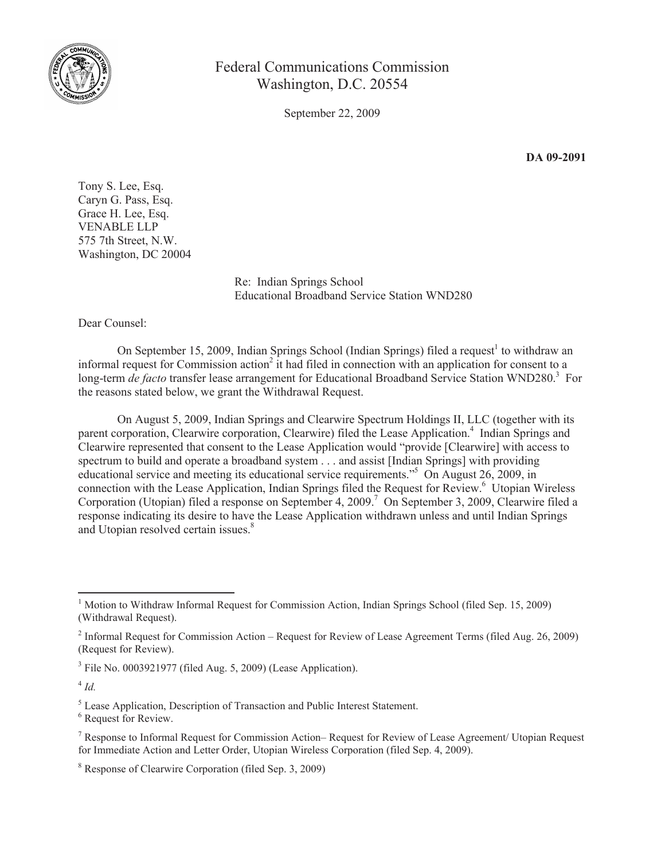

## Federal Communications Commission Washington, D.C. 20554

September 22, 2009

**DA 09-2091**

Tony S. Lee, Esq. Caryn G. Pass, Esq. Grace H. Lee, Esq. VENABLE LLP 575 7th Street, N.W. Washington, DC 20004

> Re: Indian Springs School Educational Broadband Service Station WND280

Dear Counsel:

On September 15, 2009, Indian Springs School (Indian Springs) filed a request<sup>1</sup> to withdraw an informal request for Commission action<sup>2</sup> it had filed in connection with an application for consent to a long-term *de facto* transfer lease arrangement for Educational Broadband Service Station WND280.<sup>3</sup> For the reasons stated below, we grant the Withdrawal Request.

On August 5, 2009, Indian Springs and Clearwire Spectrum Holdings II, LLC (together with its parent corporation, Clearwire corporation, Clearwire) filed the Lease Application.<sup>4</sup> Indian Springs and Clearwire represented that consent to the Lease Application would "provide [Clearwire] with access to spectrum to build and operate a broadband system . . . and assist [Indian Springs] with providing educational service and meeting its educational service requirements."<sup>5</sup> On August 26, 2009, in connection with the Lease Application, Indian Springs filed the Request for Review.<sup>6</sup> Utopian Wireless Corporation (Utopian) filed a response on September 4, 2009.<sup>7</sup> On September 3, 2009, Clearwire filed a response indicating its desire to have the Lease Application withdrawn unless and until Indian Springs and Utopian resolved certain issues.<sup>8</sup>

 $3$  File No. 0003921977 (filed Aug. 5, 2009) (Lease Application).

4 *Id.*

<sup>5</sup> Lease Application, Description of Transaction and Public Interest Statement.

<sup>6</sup> Request for Review.

<sup>1</sup> Motion to Withdraw Informal Request for Commission Action, Indian Springs School (filed Sep. 15, 2009) (Withdrawal Request).

<sup>&</sup>lt;sup>2</sup> Informal Request for Commission Action – Request for Review of Lease Agreement Terms (filed Aug. 26, 2009) (Request for Review).

<sup>7</sup> Response to Informal Request for Commission Action– Request for Review of Lease Agreement/ Utopian Request for Immediate Action and Letter Order, Utopian Wireless Corporation (filed Sep. 4, 2009).

<sup>8</sup> Response of Clearwire Corporation (filed Sep. 3, 2009)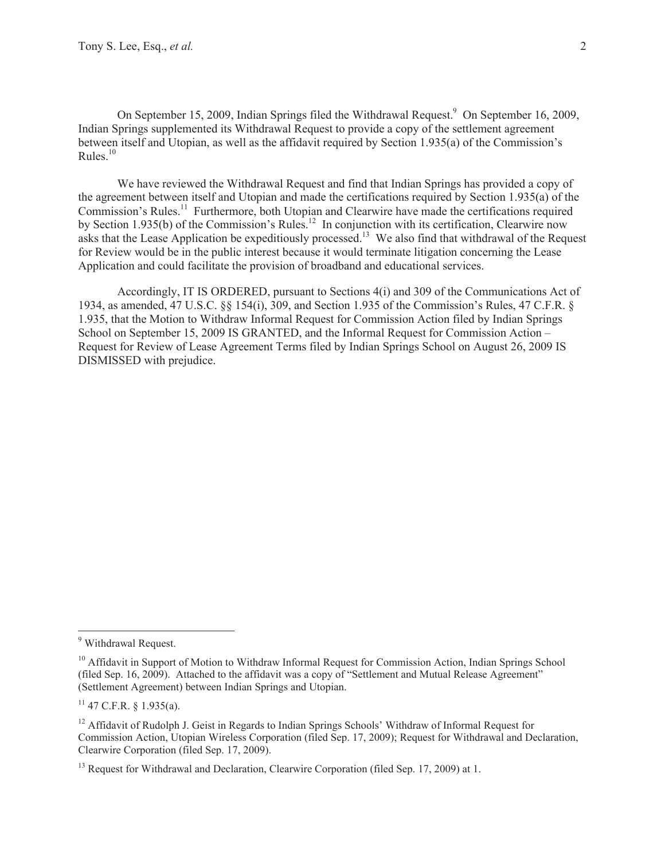On September 15, 2009, Indian Springs filed the Withdrawal Request.<sup>9</sup> On September 16, 2009, Indian Springs supplemented its Withdrawal Request to provide a copy of the settlement agreement between itself and Utopian, as well as the affidavit required by Section 1.935(a) of the Commission's Rules.<sup>10</sup>

We have reviewed the Withdrawal Request and find that Indian Springs has provided a copy of the agreement between itself and Utopian and made the certifications required by Section 1.935(a) of the Commission's Rules.<sup>11</sup> Furthermore, both Utopian and Clearwire have made the certifications required by Section 1.935(b) of the Commission's Rules.<sup>12</sup> In conjunction with its certification, Clearwire now asks that the Lease Application be expeditiously processed.<sup>13</sup> We also find that withdrawal of the Request for Review would be in the public interest because it would terminate litigation concerning the Lease Application and could facilitate the provision of broadband and educational services.

Accordingly, IT IS ORDERED, pursuant to Sections 4(i) and 309 of the Communications Act of 1934, as amended, 47 U.S.C. §§ 154(i), 309, and Section 1.935 of the Commission's Rules, 47 C.F.R. § 1.935, that the Motion to Withdraw Informal Request for Commission Action filed by Indian Springs School on September 15, 2009 IS GRANTED, and the Informal Request for Commission Action – Request for Review of Lease Agreement Terms filed by Indian Springs School on August 26, 2009 IS DISMISSED with prejudice.

<sup>&</sup>lt;sup>9</sup> Withdrawal Request.

<sup>&</sup>lt;sup>10</sup> Affidavit in Support of Motion to Withdraw Informal Request for Commission Action, Indian Springs School (filed Sep. 16, 2009). Attached to the affidavit was a copy of "Settlement and Mutual Release Agreement" (Settlement Agreement) between Indian Springs and Utopian.

 $11$  47 C.F.R. § 1.935(a).

 $12$  Affidavit of Rudolph J. Geist in Regards to Indian Springs Schools' Withdraw of Informal Request for Commission Action, Utopian Wireless Corporation (filed Sep. 17, 2009); Request for Withdrawal and Declaration, Clearwire Corporation (filed Sep. 17, 2009).

<sup>&</sup>lt;sup>13</sup> Request for Withdrawal and Declaration, Clearwire Corporation (filed Sep. 17, 2009) at 1.